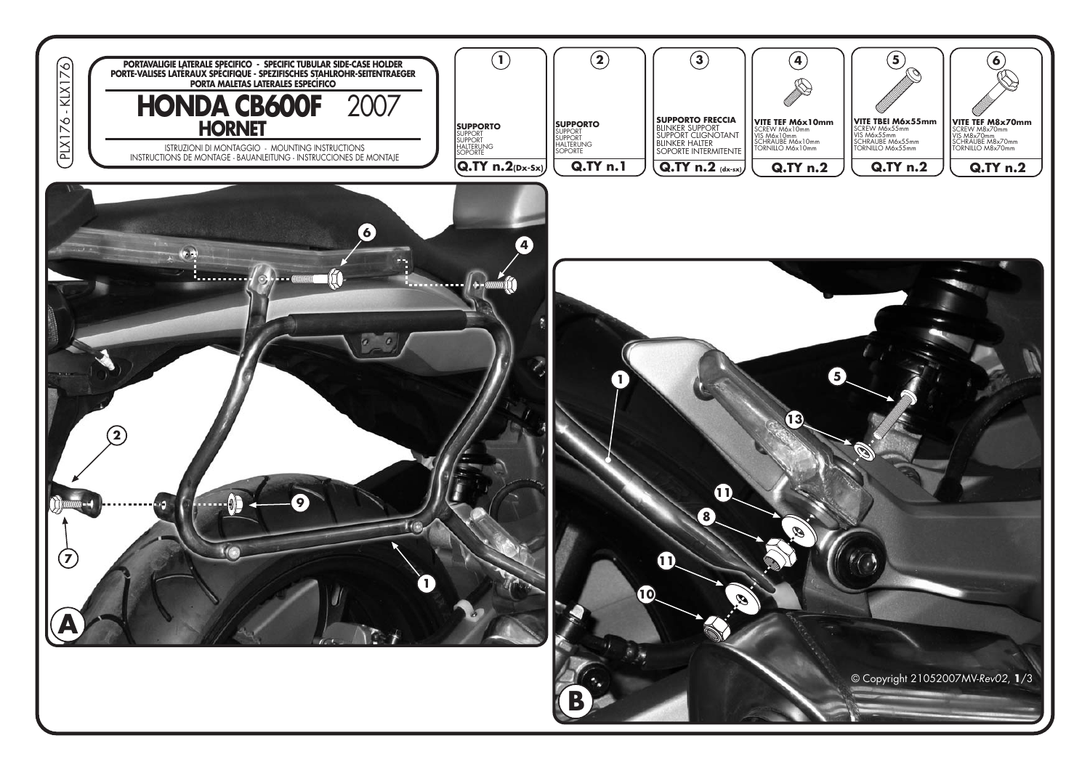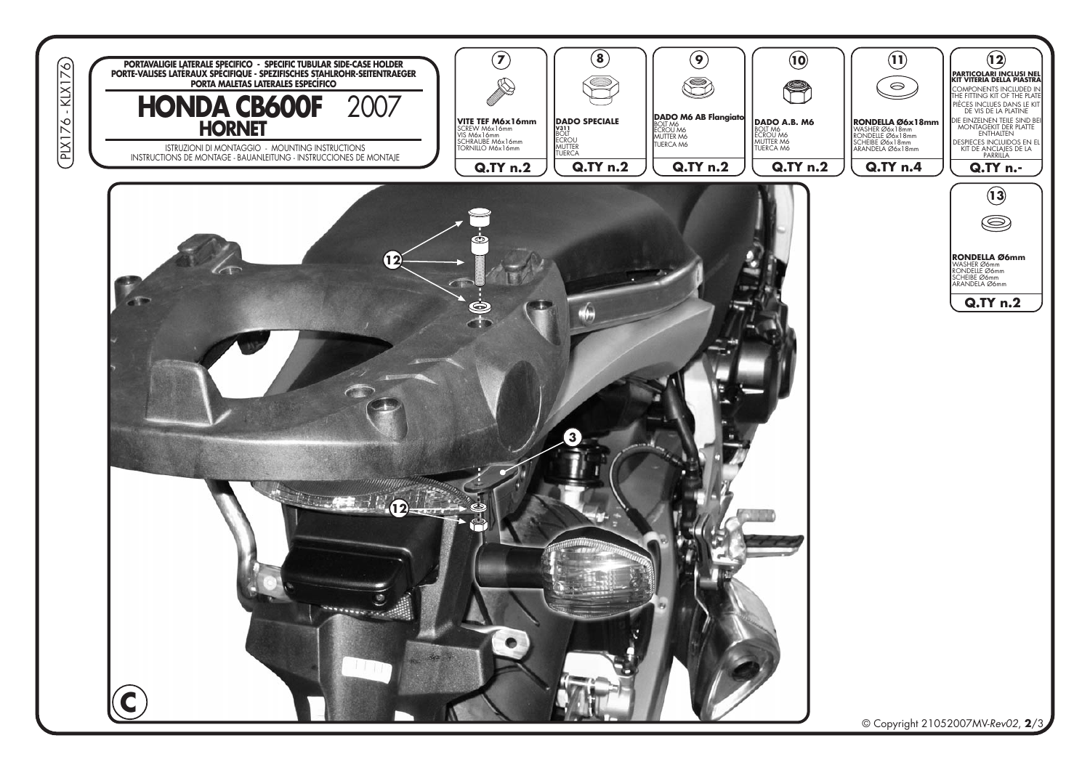![](_page_1_Picture_0.jpeg)